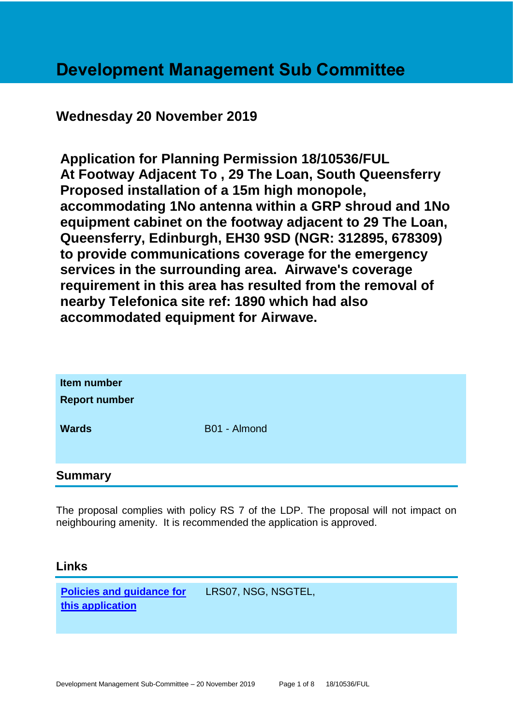# **Development Management Sub Committee**

# **Wednesday 20 November 2019**

**Application for Planning Permission 18/10536/FUL At Footway Adjacent To , 29 The Loan, South Queensferry Proposed installation of a 15m high monopole, accommodating 1No antenna within a GRP shroud and 1No equipment cabinet on the footway adjacent to 29 The Loan, Queensferry, Edinburgh, EH30 9SD (NGR: 312895, 678309) to provide communications coverage for the emergency services in the surrounding area. Airwave's coverage requirement in this area has resulted from the removal of nearby Telefonica site ref: 1890 which had also accommodated equipment for Airwave.**

| Item number<br><b>Report number</b> |              |
|-------------------------------------|--------------|
| <b>Wards</b>                        | B01 - Almond |
| <b>Summary</b>                      |              |

The proposal complies with policy RS 7 of the LDP. The proposal will not impact on neighbouring amenity. It is recommended the application is approved.

#### **Links**

**[Policies and guidance for](file:///C:/uniform/temp/uf04148.rtf%23Policies)  [this application](file:///C:/uniform/temp/uf04148.rtf%23Policies)** LRS07, NSG, NSGTEL,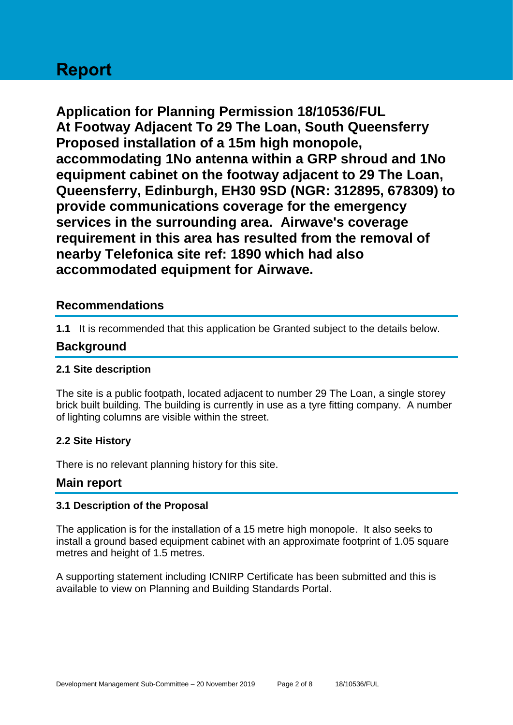# **Report**

**Application for Planning Permission 18/10536/FUL At Footway Adjacent To 29 The Loan, South Queensferry Proposed installation of a 15m high monopole, accommodating 1No antenna within a GRP shroud and 1No equipment cabinet on the footway adjacent to 29 The Loan, Queensferry, Edinburgh, EH30 9SD (NGR: 312895, 678309) to provide communications coverage for the emergency services in the surrounding area. Airwave's coverage requirement in this area has resulted from the removal of nearby Telefonica site ref: 1890 which had also accommodated equipment for Airwave.**

## **Recommendations**

**1.1** It is recommended that this application be Granted subject to the details below.

#### **Background**

#### **2.1 Site description**

The site is a public footpath, located adjacent to number 29 The Loan, a single storey brick built building. The building is currently in use as a tyre fitting company. A number of lighting columns are visible within the street.

#### **2.2 Site History**

There is no relevant planning history for this site.

#### **Main report**

#### **3.1 Description of the Proposal**

The application is for the installation of a 15 metre high monopole. It also seeks to install a ground based equipment cabinet with an approximate footprint of 1.05 square metres and height of 1.5 metres.

A supporting statement including ICNIRP Certificate has been submitted and this is available to view on Planning and Building Standards Portal.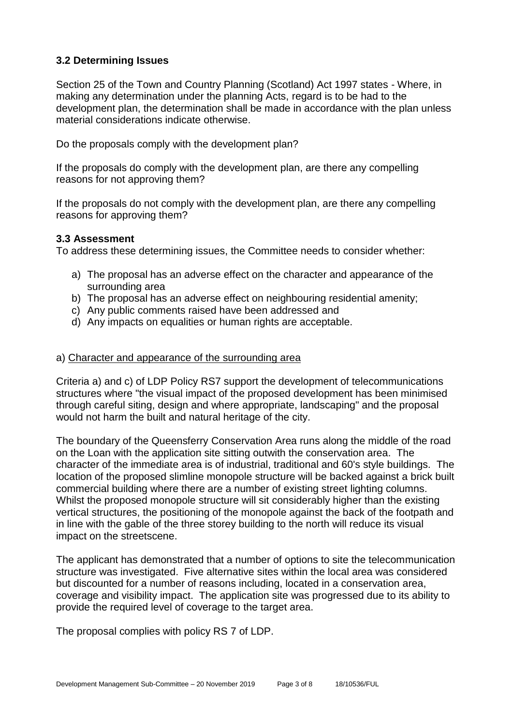#### **3.2 Determining Issues**

Section 25 of the Town and Country Planning (Scotland) Act 1997 states - Where, in making any determination under the planning Acts, regard is to be had to the development plan, the determination shall be made in accordance with the plan unless material considerations indicate otherwise.

Do the proposals comply with the development plan?

If the proposals do comply with the development plan, are there any compelling reasons for not approving them?

If the proposals do not comply with the development plan, are there any compelling reasons for approving them?

#### **3.3 Assessment**

To address these determining issues, the Committee needs to consider whether:

- a) The proposal has an adverse effect on the character and appearance of the surrounding area
- b) The proposal has an adverse effect on neighbouring residential amenity;
- c) Any public comments raised have been addressed and
- d) Any impacts on equalities or human rights are acceptable.

#### a) Character and appearance of the surrounding area

Criteria a) and c) of LDP Policy RS7 support the development of telecommunications structures where "the visual impact of the proposed development has been minimised through careful siting, design and where appropriate, landscaping" and the proposal would not harm the built and natural heritage of the city.

The boundary of the Queensferry Conservation Area runs along the middle of the road on the Loan with the application site sitting outwith the conservation area. The character of the immediate area is of industrial, traditional and 60's style buildings. The location of the proposed slimline monopole structure will be backed against a brick built commercial building where there are a number of existing street lighting columns. Whilst the proposed monopole structure will sit considerably higher than the existing vertical structures, the positioning of the monopole against the back of the footpath and in line with the gable of the three storey building to the north will reduce its visual impact on the streetscene.

The applicant has demonstrated that a number of options to site the telecommunication structure was investigated. Five alternative sites within the local area was considered but discounted for a number of reasons including, located in a conservation area, coverage and visibility impact. The application site was progressed due to its ability to provide the required level of coverage to the target area.

The proposal complies with policy RS 7 of LDP.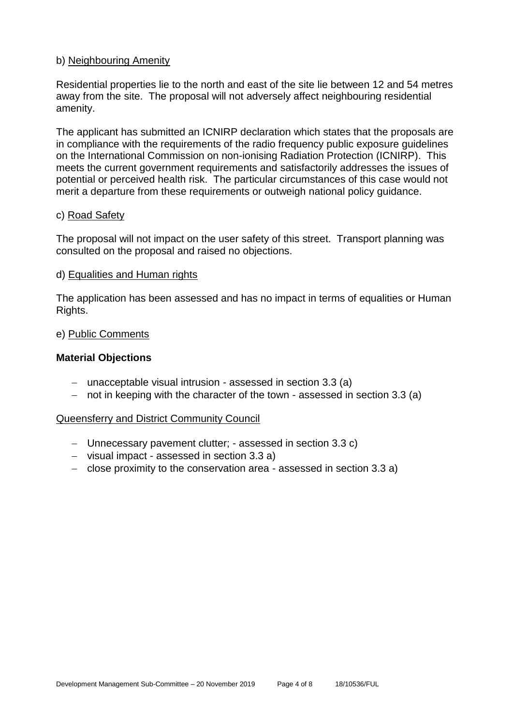#### b) Neighbouring Amenity

Residential properties lie to the north and east of the site lie between 12 and 54 metres away from the site. The proposal will not adversely affect neighbouring residential amenity.

The applicant has submitted an ICNIRP declaration which states that the proposals are in compliance with the requirements of the radio frequency public exposure guidelines on the International Commission on non-ionising Radiation Protection (ICNIRP). This meets the current government requirements and satisfactorily addresses the issues of potential or perceived health risk. The particular circumstances of this case would not merit a departure from these requirements or outweigh national policy guidance.

#### c) Road Safety

The proposal will not impact on the user safety of this street. Transport planning was consulted on the proposal and raised no objections.

#### d) Equalities and Human rights

The application has been assessed and has no impact in terms of equalities or Human Rights.

#### e) Public Comments

#### **Material Objections**

- − unacceptable visual intrusion assessed in section 3.3 (a)
- − not in keeping with the character of the town assessed in section 3.3 (a)

#### Queensferry and District Community Council

- − Unnecessary pavement clutter; assessed in section 3.3 c)
- − visual impact assessed in section 3.3 a)
- − close proximity to the conservation area assessed in section 3.3 a)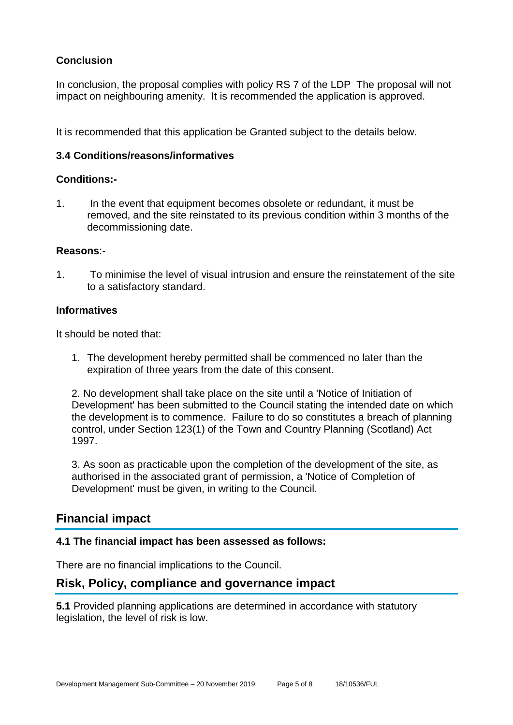## **Conclusion**

In conclusion, the proposal complies with policy RS 7 of the LDP The proposal will not impact on neighbouring amenity. It is recommended the application is approved.

It is recommended that this application be Granted subject to the details below.

#### **3.4 Conditions/reasons/informatives**

#### **Conditions:-**

1. In the event that equipment becomes obsolete or redundant, it must be removed, and the site reinstated to its previous condition within 3 months of the decommissioning date.

#### **Reasons**:-

1. To minimise the level of visual intrusion and ensure the reinstatement of the site to a satisfactory standard.

#### **Informatives**

It should be noted that:

1. The development hereby permitted shall be commenced no later than the expiration of three years from the date of this consent.

2. No development shall take place on the site until a 'Notice of Initiation of Development' has been submitted to the Council stating the intended date on which the development is to commence. Failure to do so constitutes a breach of planning control, under Section 123(1) of the Town and Country Planning (Scotland) Act 1997.

3. As soon as practicable upon the completion of the development of the site, as authorised in the associated grant of permission, a 'Notice of Completion of Development' must be given, in writing to the Council.

# **Financial impact**

#### **4.1 The financial impact has been assessed as follows:**

There are no financial implications to the Council.

# **Risk, Policy, compliance and governance impact**

**5.1** Provided planning applications are determined in accordance with statutory legislation, the level of risk is low.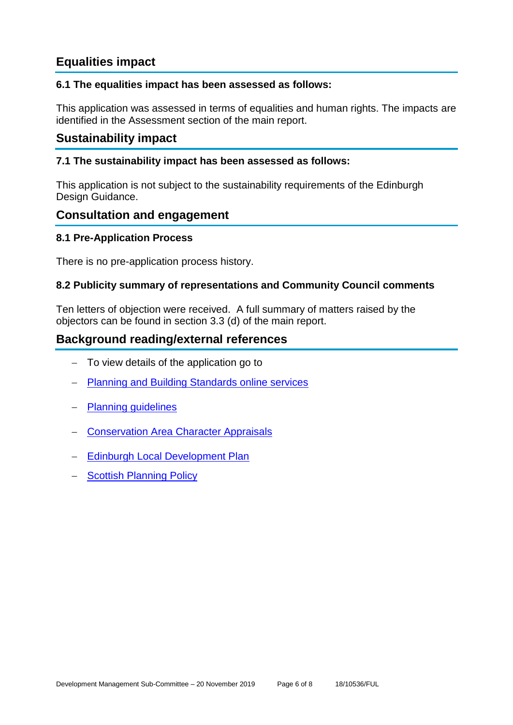# **Equalities impact**

#### **6.1 The equalities impact has been assessed as follows:**

This application was assessed in terms of equalities and human rights. The impacts are identified in the Assessment section of the main report.

# **Sustainability impact**

#### **7.1 The sustainability impact has been assessed as follows:**

This application is not subject to the sustainability requirements of the Edinburgh Design Guidance.

## **Consultation and engagement**

#### **8.1 Pre-Application Process**

There is no pre-application process history.

#### **8.2 Publicity summary of representations and Community Council comments**

Ten letters of objection were received. A full summary of matters raised by the objectors can be found in section 3.3 (d) of the main report.

# **Background reading/external references**

- − To view details of the application go to
- **[Planning and Building Standards online services](https://citydev-portal.edinburgh.gov.uk/idoxpa-web/search.do?action=simple&searchType=Application)**
- − [Planning guidelines](http://www.edinburgh.gov.uk/planningguidelines)
- − [Conservation Area Character Appraisals](http://www.edinburgh.gov.uk/characterappraisals)
- − [Edinburgh Local Development Plan](http://www.edinburgh.gov.uk/localdevelopmentplan)
- − [Scottish Planning Policy](http://www.scotland.gov.uk/Topics/Built-Environment/planning/Policy)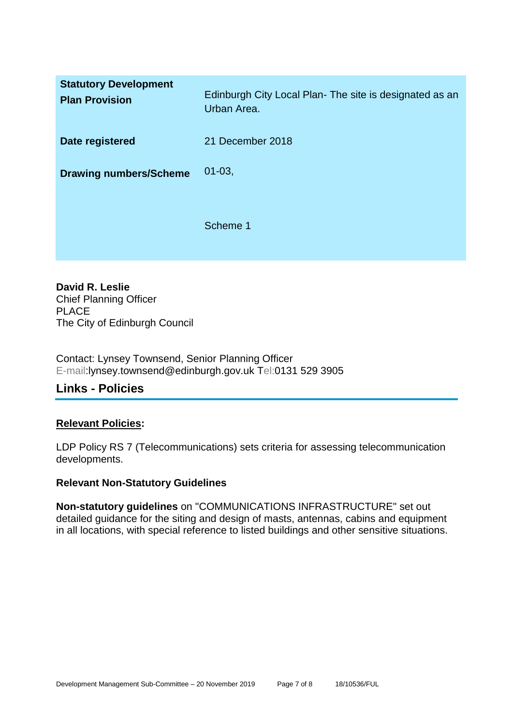| <b>Statutory Development</b><br><b>Plan Provision</b> | Edinburgh City Local Plan-The site is designated as an<br>Urban Area. |
|-------------------------------------------------------|-----------------------------------------------------------------------|
| Date registered                                       | 21 December 2018                                                      |
| <b>Drawing numbers/Scheme</b>                         | $01 - 03$ ,                                                           |
|                                                       | Scheme 1                                                              |

**David R. Leslie** Chief Planning Officer PLACE The City of Edinburgh Council

Contact: Lynsey Townsend, Senior Planning Officer E-mail:lynsey.townsend@edinburgh.gov.uk Tel:0131 529 3905

# **Links - Policies**

#### **Relevant Policies:**

LDP Policy RS 7 (Telecommunications) sets criteria for assessing telecommunication developments.

#### **Relevant Non-Statutory Guidelines**

**Non-statutory guidelines** on "COMMUNICATIONS INFRASTRUCTURE" set out detailed guidance for the siting and design of masts, antennas, cabins and equipment in all locations, with special reference to listed buildings and other sensitive situations.